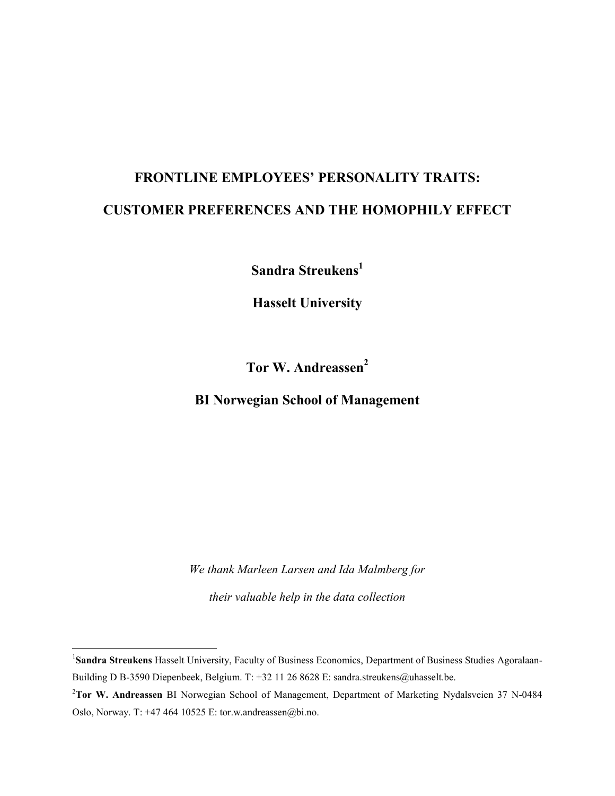# **FRONTLINE EMPLOYEES' PERSONALITY TRAITS: CUSTOMER PREFERENCES AND THE HOMOPHILY EFFECT**

**Sandra Streukens<sup>1</sup>**

**Hasselt University**

**Tor W. Andreassen<sup>2</sup>**

**BI Norwegian School of Management**

*We thank Marleen Larsen and Ida Malmberg for their valuable help in the data collection*

 $\overline{a}$ 

<sup>&</sup>lt;sup>1</sup>Sandra Streukens Hasselt University, Faculty of Business Economics, Department of Business Studies Agoralaan-Building D B-3590 Diepenbeek, Belgium. T: +32 11 26 8628 E: sandra.streukens@uhasselt.be.

<sup>2</sup>**Tor W. Andreassen** BI Norwegian School of Management, Department of Marketing Nydalsveien 37 N-0484 Oslo, Norway. T: +47 464 10525 E: tor.w.andreassen@bi.no.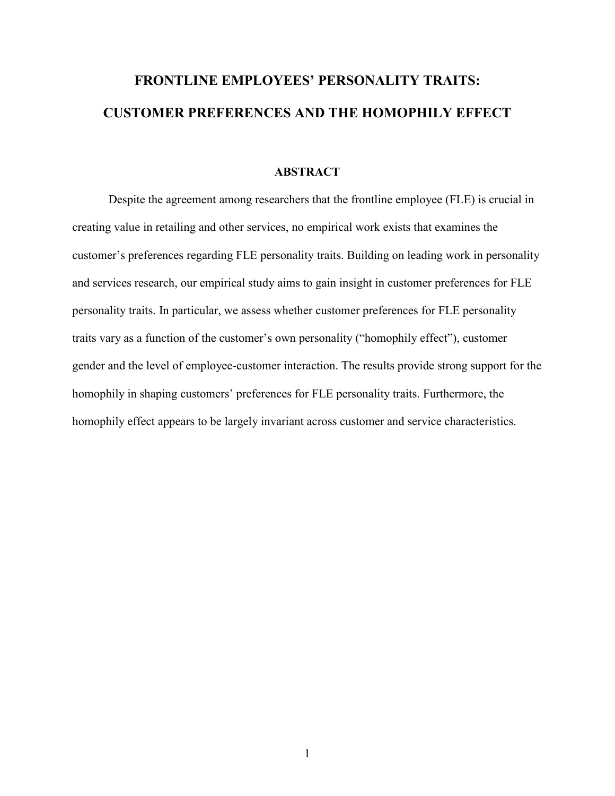# **FRONTLINE EMPLOYEES' PERSONALITY TRAITS: CUSTOMER PREFERENCES AND THE HOMOPHILY EFFECT**

# **ABSTRACT**

Despite the agreement among researchers that the frontline employee (FLE) is crucial in creating value in retailing and other services, no empirical work exists that examines the customer's preferences regarding FLE personality traits. Building on leading work in personality and services research, our empirical study aims to gain insight in customer preferences for FLE personality traits. In particular, we assess whether customer preferences for FLE personality traits vary as a function of the customer's own personality ("homophily effect"), customer gender and the level of employee-customer interaction. The results provide strong support for the homophily in shaping customers' preferences for FLE personality traits. Furthermore, the homophily effect appears to be largely invariant across customer and service characteristics.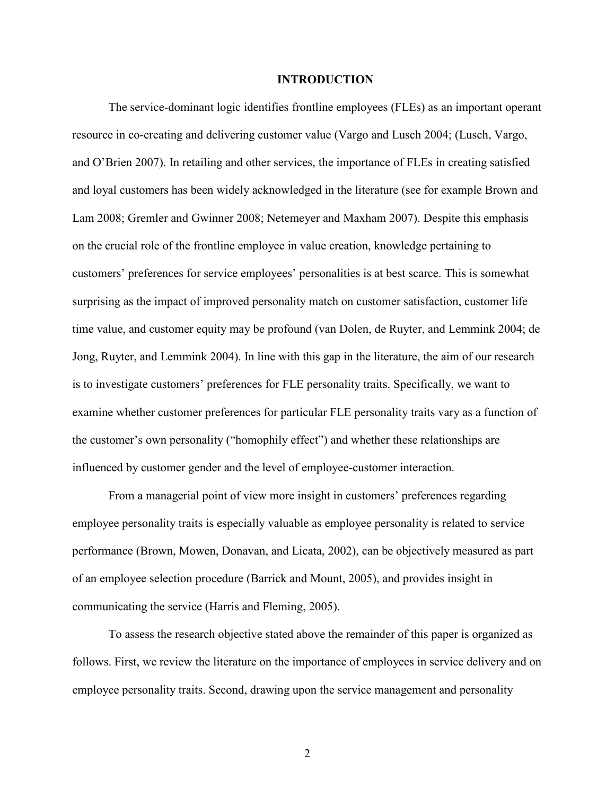#### **INTRODUCTION**

The service-dominant logic identifies frontline employees (FLEs) as an important operant resource in co-creating and delivering customer value (Vargo and Lusch 2004; (Lusch, Vargo, and O'Brien 2007). In retailing and other services, the importance of FLEs in creating satisfied and loyal customers has been widely acknowledged in the literature (see for example Brown and Lam 2008; Gremler and Gwinner 2008; Netemeyer and Maxham 2007). Despite this emphasis on the crucial role of the frontline employee in value creation, knowledge pertaining to customers' preferences for service employees' personalities is at best scarce. This is somewhat surprising as the impact of improved personality match on customer satisfaction, customer life time value, and customer equity may be profound (van Dolen, de Ruyter, and Lemmink 2004; de Jong, Ruyter, and Lemmink 2004). In line with this gap in the literature, the aim of our research is to investigate customers' preferences for FLE personality traits. Specifically, we want to examine whether customer preferences for particular FLE personality traits vary as a function of the customer's own personality ("homophily effect") and whether these relationships are influenced by customer gender and the level of employee-customer interaction.

From a managerial point of view more insight in customers' preferences regarding employee personality traits is especially valuable as employee personality is related to service performance (Brown, Mowen, Donavan, and Licata, 2002), can be objectively measured as part of an employee selection procedure (Barrick and Mount, 2005), and provides insight in communicating the service (Harris and Fleming, 2005).

To assess the research objective stated above the remainder of this paper is organized as follows. First, we review the literature on the importance of employees in service delivery and on employee personality traits. Second, drawing upon the service management and personality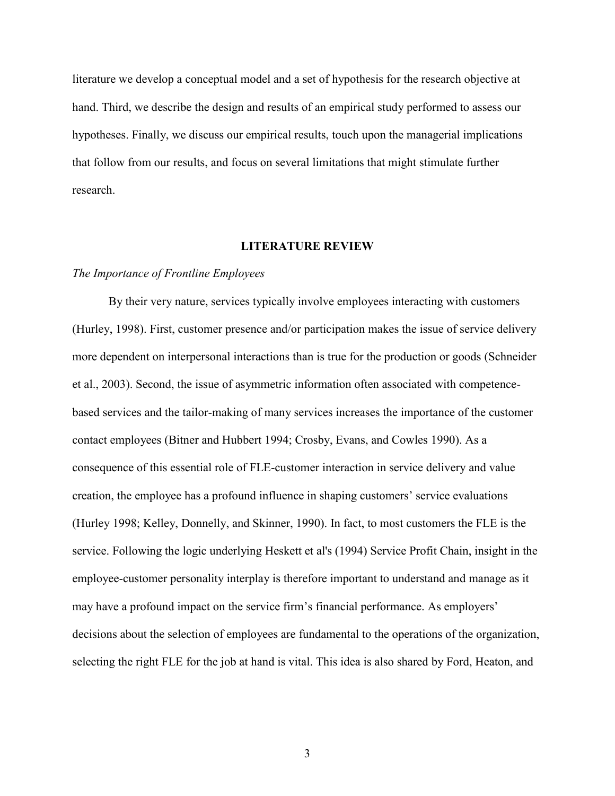literature we develop a conceptual model and a set of hypothesis for the research objective at hand. Third, we describe the design and results of an empirical study performed to assess our hypotheses. Finally, we discuss our empirical results, touch upon the managerial implications that follow from our results, and focus on several limitations that might stimulate further research.

#### **LITERATURE REVIEW**

# *The Importance of Frontline Employees*

By their very nature, services typically involve employees interacting with customers (Hurley, 1998). First, customer presence and/or participation makes the issue of service delivery more dependent on interpersonal interactions than is true for the production or goods (Schneider et al., 2003). Second, the issue of asymmetric information often associated with competencebased services and the tailor-making of many services increases the importance of the customer contact employees (Bitner and Hubbert 1994; Crosby, Evans, and Cowles 1990). As a consequence of this essential role of FLE-customer interaction in service delivery and value creation, the employee has a profound influence in shaping customers' service evaluations (Hurley 1998; Kelley, Donnelly, and Skinner, 1990). In fact, to most customers the FLE is the service. Following the logic underlying Heskett et al's (1994) Service Profit Chain, insight in the employee-customer personality interplay is therefore important to understand and manage as it may have a profound impact on the service firm's financial performance. As employers' decisions about the selection of employees are fundamental to the operations of the organization, selecting the right FLE for the job at hand is vital. This idea is also shared by Ford, Heaton, and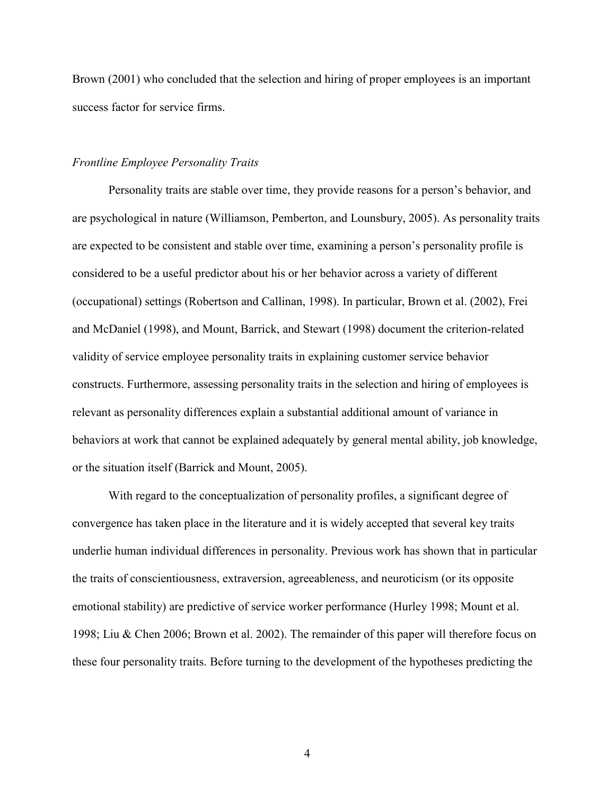Brown (2001) who concluded that the selection and hiring of proper employees is an important success factor for service firms.

## *Frontline Employee Personality Traits*

Personality traits are stable over time, they provide reasons for a person's behavior, and are psychological in nature (Williamson, Pemberton, and Lounsbury, 2005). As personality traits are expected to be consistent and stable over time, examining a person's personality profile is considered to be a useful predictor about his or her behavior across a variety of different (occupational) settings (Robertson and Callinan, 1998). In particular, Brown et al. (2002), Frei and McDaniel (1998), and Mount, Barrick, and Stewart (1998) document the criterion-related validity of service employee personality traits in explaining customer service behavior constructs. Furthermore, assessing personality traits in the selection and hiring of employees is relevant as personality differences explain a substantial additional amount of variance in behaviors at work that cannot be explained adequately by general mental ability, job knowledge, or the situation itself (Barrick and Mount, 2005).

With regard to the conceptualization of personality profiles, a significant degree of convergence has taken place in the literature and it is widely accepted that several key traits underlie human individual differences in personality. Previous work has shown that in particular the traits of conscientiousness, extraversion, agreeableness, and neuroticism (or its opposite emotional stability) are predictive of service worker performance (Hurley 1998; Mount et al. 1998; Liu & Chen 2006; Brown et al. 2002). The remainder of this paper will therefore focus on these four personality traits. Before turning to the development of the hypotheses predicting the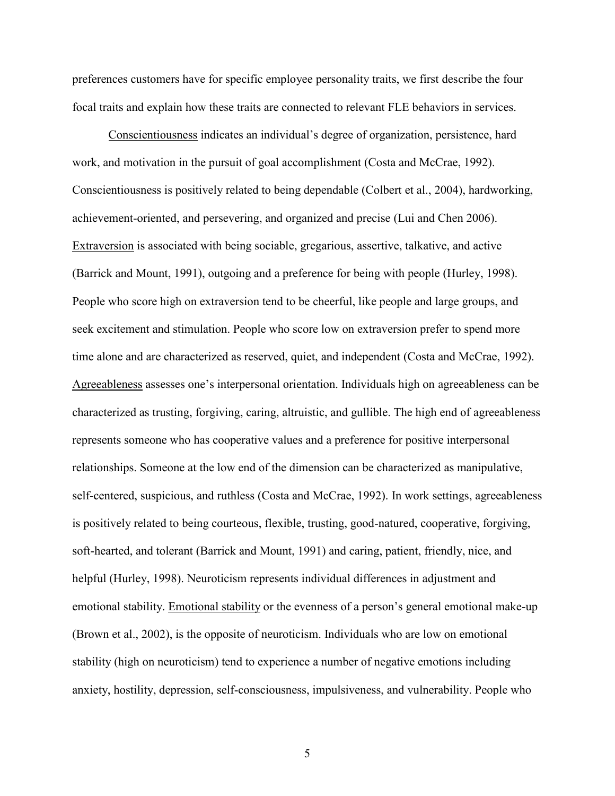preferences customers have for specific employee personality traits, we first describe the four focal traits and explain how these traits are connected to relevant FLE behaviors in services.

Conscientiousness indicates an individual's degree of organization, persistence, hard work, and motivation in the pursuit of goal accomplishment (Costa and McCrae, 1992). Conscientiousness is positively related to being dependable (Colbert et al., 2004), hardworking, achievement-oriented, and persevering, and organized and precise (Lui and Chen 2006). Extraversion is associated with being sociable, gregarious, assertive, talkative, and active (Barrick and Mount, 1991), outgoing and a preference for being with people (Hurley, 1998). People who score high on extraversion tend to be cheerful, like people and large groups, and seek excitement and stimulation. People who score low on extraversion prefer to spend more time alone and are characterized as reserved, quiet, and independent (Costa and McCrae, 1992). Agreeableness assesses one's interpersonal orientation. Individuals high on agreeableness can be characterized as trusting, forgiving, caring, altruistic, and gullible. The high end of agreeableness represents someone who has cooperative values and a preference for positive interpersonal relationships. Someone at the low end of the dimension can be characterized as manipulative, self-centered, suspicious, and ruthless (Costa and McCrae, 1992). In work settings, agreeableness is positively related to being courteous, flexible, trusting, good-natured, cooperative, forgiving, soft-hearted, and tolerant (Barrick and Mount, 1991) and caring, patient, friendly, nice, and helpful (Hurley, 1998). Neuroticism represents individual differences in adjustment and emotional stability. Emotional stability or the evenness of a person's general emotional make-up (Brown et al., 2002), is the opposite of neuroticism. Individuals who are low on emotional stability (high on neuroticism) tend to experience a number of negative emotions including anxiety, hostility, depression, self-consciousness, impulsiveness, and vulnerability. People who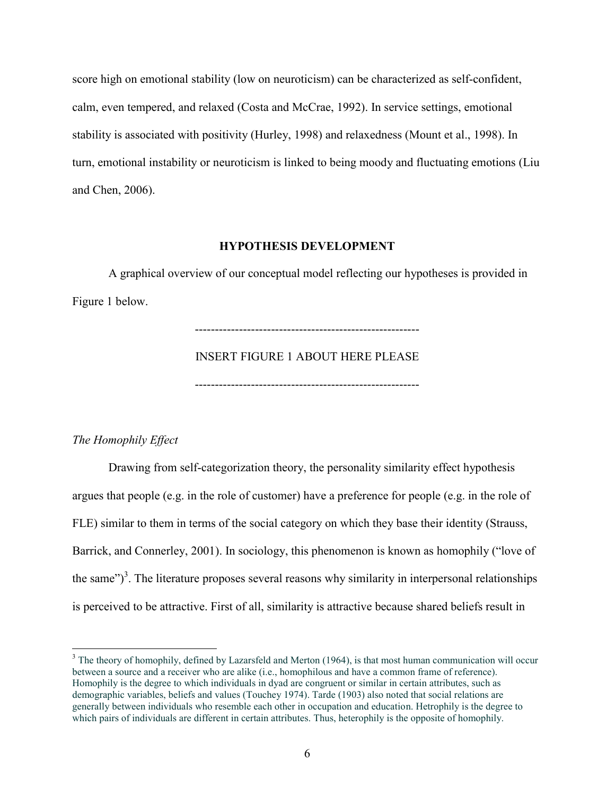score high on emotional stability (low on neuroticism) can be characterized as self-confident, calm, even tempered, and relaxed (Costa and McCrae, 1992). In service settings, emotional stability is associated with positivity (Hurley, 1998) and relaxedness (Mount et al., 1998). In turn, emotional instability or neuroticism is linked to being moody and fluctuating emotions (Liu and Chen, 2006).

# **HYPOTHESIS DEVELOPMENT**

A graphical overview of our conceptual model reflecting our hypotheses is provided in Figure 1 below.

--------------------------------------------------------

# INSERT FIGURE 1 ABOUT HERE PLEASE

--------------------------------------------------------

# *The Homophily Effect*

 $\overline{a}$ 

Drawing from self-categorization theory, the personality similarity effect hypothesis argues that people (e.g. in the role of customer) have a preference for people (e.g. in the role of FLE) similar to them in terms of the social category on which they base their identity (Strauss, Barrick, and Connerley, 2001). In sociology, this phenomenon is known as homophily ("love of the same")<sup>3</sup>. The literature proposes several reasons why similarity in interpersonal relationships is perceived to be attractive. First of all, similarity is attractive because shared beliefs result in

<sup>&</sup>lt;sup>3</sup> The theory of homophily, defined by Lazarsfeld and Merton (1964), is that most human communication will occur between a source and a receiver who are alike (i.e., homophilous and have a common frame of reference). Homophily is the degree to which individuals in dyad are congruent or similar in certain attributes, such as demographic variables, beliefs and values (Touchey 1974). Tarde (1903) also noted that social relations are generally between individuals who resemble each other in occupation and education. Hetrophily is the degree to which pairs of individuals are different in certain attributes. Thus, heterophily is the opposite of homophily.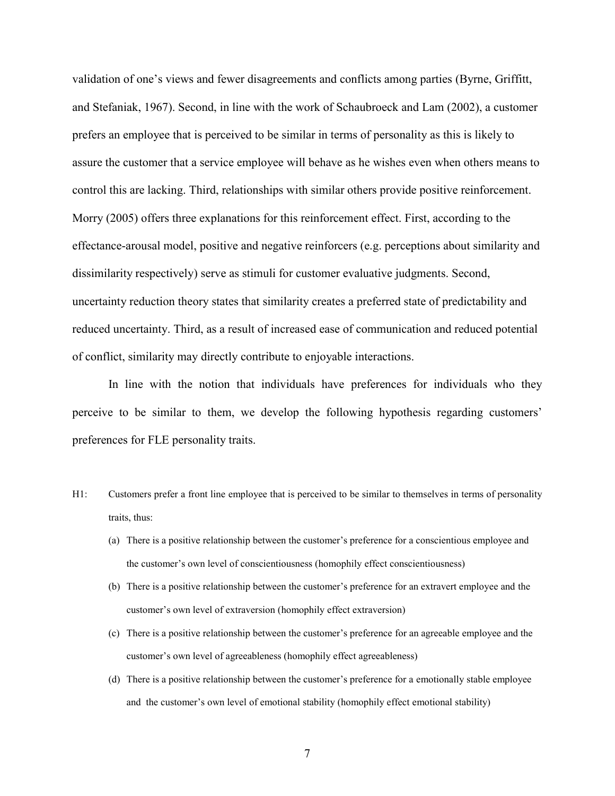validation of one's views and fewer disagreements and conflicts among parties (Byrne, Griffitt, and Stefaniak, 1967). Second, in line with the work of Schaubroeck and Lam (2002), a customer prefers an employee that is perceived to be similar in terms of personality as this is likely to assure the customer that a service employee will behave as he wishes even when others means to control this are lacking. Third, relationships with similar others provide positive reinforcement. Morry (2005) offers three explanations for this reinforcement effect. First, according to the effectance-arousal model, positive and negative reinforcers (e.g. perceptions about similarity and dissimilarity respectively) serve as stimuli for customer evaluative judgments. Second, uncertainty reduction theory states that similarity creates a preferred state of predictability and reduced uncertainty. Third, as a result of increased ease of communication and reduced potential of conflict, similarity may directly contribute to enjoyable interactions.

In line with the notion that individuals have preferences for individuals who they perceive to be similar to them, we develop the following hypothesis regarding customers' preferences for FLE personality traits.

- H1: Customers prefer a front line employee that is perceived to be similar to themselves in terms of personality traits, thus:
	- (a) There is a positive relationship between the customer's preference for a conscientious employee and the customer's own level of conscientiousness (homophily effect conscientiousness)
	- (b) There is a positive relationship between the customer's preference for an extravert employee and the customer's own level of extraversion (homophily effect extraversion)
	- (c) There is a positive relationship between the customer's preference for an agreeable employee and the customer's own level of agreeableness (homophily effect agreeableness)
	- (d) There is a positive relationship between the customer's preference for a emotionally stable employee and the customer's own level of emotional stability (homophily effect emotional stability)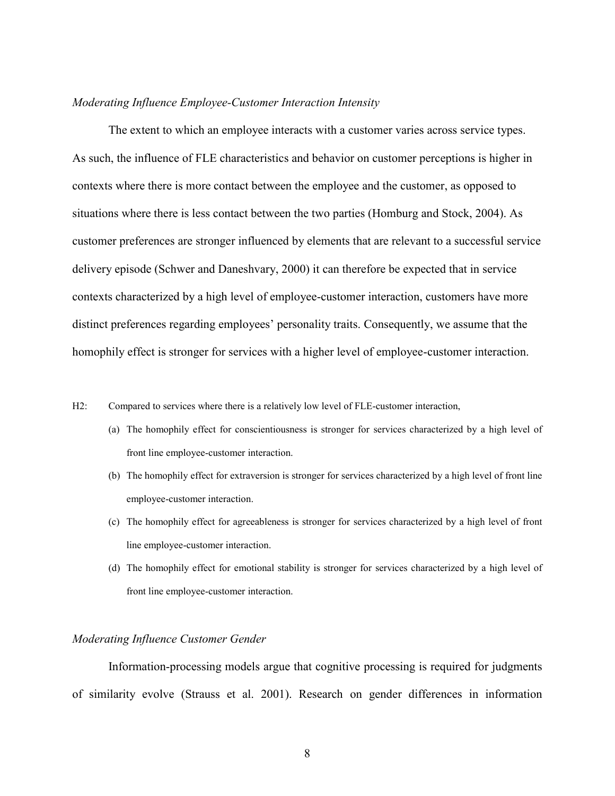## *Moderating Influence Employee-Customer Interaction Intensity*

The extent to which an employee interacts with a customer varies across service types. As such, the influence of FLE characteristics and behavior on customer perceptions is higher in contexts where there is more contact between the employee and the customer, as opposed to situations where there is less contact between the two parties (Homburg and Stock, 2004). As customer preferences are stronger influenced by elements that are relevant to a successful service delivery episode (Schwer and Daneshvary, 2000) it can therefore be expected that in service contexts characterized by a high level of employee-customer interaction, customers have more distinct preferences regarding employees' personality traits. Consequently, we assume that the homophily effect is stronger for services with a higher level of employee-customer interaction.

- H2: Compared to services where there is a relatively low level of FLE-customer interaction,
	- (a) The homophily effect for conscientiousness is stronger for services characterized by a high level of front line employee-customer interaction.
	- (b) The homophily effect for extraversion is stronger for services characterized by a high level of front line employee-customer interaction.
	- (c) The homophily effect for agreeableness is stronger for services characterized by a high level of front line employee-customer interaction.
	- (d) The homophily effect for emotional stability is stronger for services characterized by a high level of front line employee-customer interaction.

# *Moderating Influence Customer Gender*

Information-processing models argue that cognitive processing is required for judgments of similarity evolve (Strauss et al. 2001). Research on gender differences in information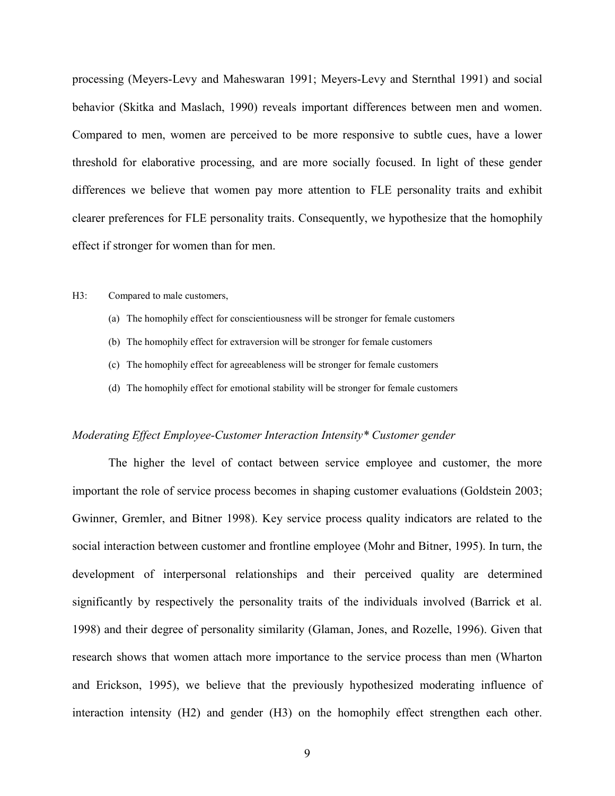processing (Meyers-Levy and Maheswaran 1991; Meyers-Levy and Sternthal 1991) and social behavior (Skitka and Maslach, 1990) reveals important differences between men and women. Compared to men, women are perceived to be more responsive to subtle cues, have a lower threshold for elaborative processing, and are more socially focused. In light of these gender differences we believe that women pay more attention to FLE personality traits and exhibit clearer preferences for FLE personality traits. Consequently, we hypothesize that the homophily effect if stronger for women than for men.

#### H3: Compared to male customers,

- (a) The homophily effect for conscientiousness will be stronger for female customers
- (b) The homophily effect for extraversion will be stronger for female customers
- (c) The homophily effect for agreeableness will be stronger for female customers
- (d) The homophily effect for emotional stability will be stronger for female customers

#### *Moderating Effect Employee-Customer Interaction Intensity\* Customer gender*

The higher the level of contact between service employee and customer, the more important the role of service process becomes in shaping customer evaluations (Goldstein 2003; Gwinner, Gremler, and Bitner 1998). Key service process quality indicators are related to the social interaction between customer and frontline employee (Mohr and Bitner, 1995). In turn, the development of interpersonal relationships and their perceived quality are determined significantly by respectively the personality traits of the individuals involved (Barrick et al. 1998) and their degree of personality similarity (Glaman, Jones, and Rozelle, 1996). Given that research shows that women attach more importance to the service process than men (Wharton and Erickson, 1995), we believe that the previously hypothesized moderating influence of interaction intensity (H2) and gender (H3) on the homophily effect strengthen each other.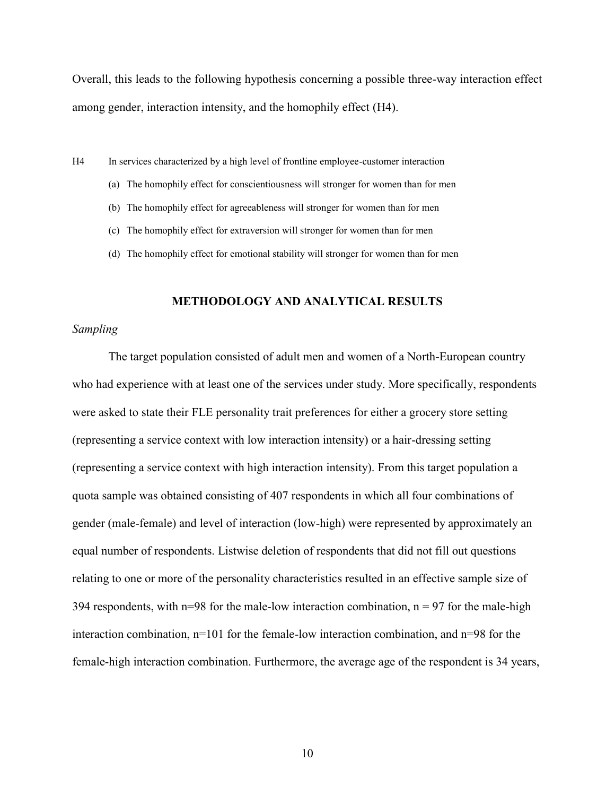Overall, this leads to the following hypothesis concerning a possible three-way interaction effect among gender, interaction intensity, and the homophily effect (H4).

H4 In services characterized by a high level of frontline employee-customer interaction

- (a) The homophily effect for conscientiousness will stronger for women than for men
- (b) The homophily effect for agreeableness will stronger for women than for men
- (c) The homophily effect for extraversion will stronger for women than for men
- (d) The homophily effect for emotional stability will stronger for women than for men

# **METHODOLOGY AND ANALYTICAL RESULTS**

#### *Sampling*

The target population consisted of adult men and women of a North-European country who had experience with at least one of the services under study. More specifically, respondents were asked to state their FLE personality trait preferences for either a grocery store setting (representing a service context with low interaction intensity) or a hair-dressing setting (representing a service context with high interaction intensity). From this target population a quota sample was obtained consisting of 407 respondents in which all four combinations of gender (male-female) and level of interaction (low-high) were represented by approximately an equal number of respondents. Listwise deletion of respondents that did not fill out questions relating to one or more of the personality characteristics resulted in an effective sample size of 394 respondents, with  $n=98$  for the male-low interaction combination,  $n = 97$  for the male-high interaction combination, n=101 for the female-low interaction combination, and n=98 for the female-high interaction combination. Furthermore, the average age of the respondent is 34 years,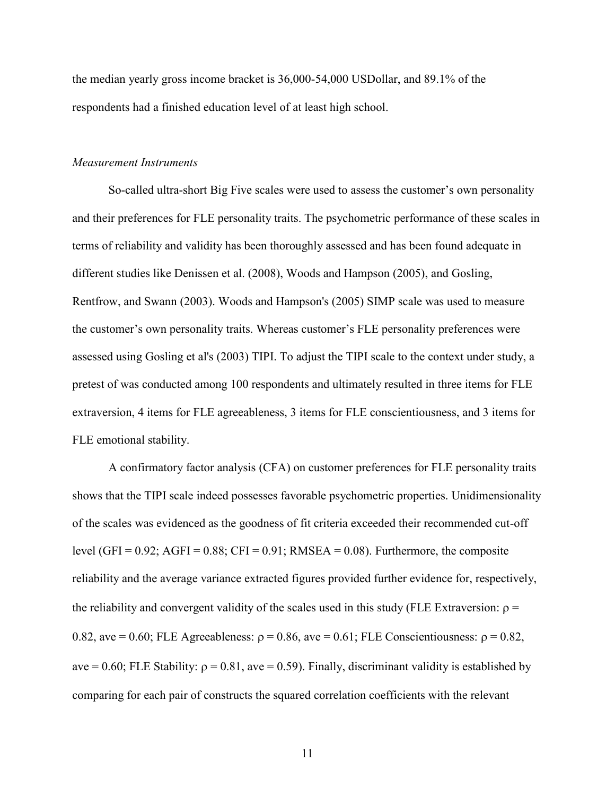the median yearly gross income bracket is 36,000-54,000 USDollar, and 89.1% of the respondents had a finished education level of at least high school.

# *Measurement Instruments*

So-called ultra-short Big Five scales were used to assess the customer's own personality and their preferences for FLE personality traits. The psychometric performance of these scales in terms of reliability and validity has been thoroughly assessed and has been found adequate in different studies like Denissen et al. (2008), Woods and Hampson (2005), and Gosling, Rentfrow, and Swann (2003). Woods and Hampson's (2005) SIMP scale was used to measure the customer's own personality traits. Whereas customer's FLE personality preferences were assessed using Gosling et al's (2003) TIPI. To adjust the TIPI scale to the context under study, a pretest of was conducted among 100 respondents and ultimately resulted in three items for FLE extraversion, 4 items for FLE agreeableness, 3 items for FLE conscientiousness, and 3 items for FLE emotional stability.

A confirmatory factor analysis (CFA) on customer preferences for FLE personality traits shows that the TIPI scale indeed possesses favorable psychometric properties. Unidimensionality of the scales was evidenced as the goodness of fit criteria exceeded their recommended cut-off level (GFI =  $0.92$ ; AGFI =  $0.88$ ; CFI =  $0.91$ ; RMSEA =  $0.08$ ). Furthermore, the composite reliability and the average variance extracted figures provided further evidence for, respectively, the reliability and convergent validity of the scales used in this study (FLE Extraversion:  $\rho =$ 0.82, ave = 0.60; FLE Agreeableness:  $\rho = 0.86$ , ave = 0.61; FLE Conscientiousness:  $\rho = 0.82$ , ave = 0.60; FLE Stability:  $\rho = 0.81$ , ave = 0.59). Finally, discriminant validity is established by comparing for each pair of constructs the squared correlation coefficients with the relevant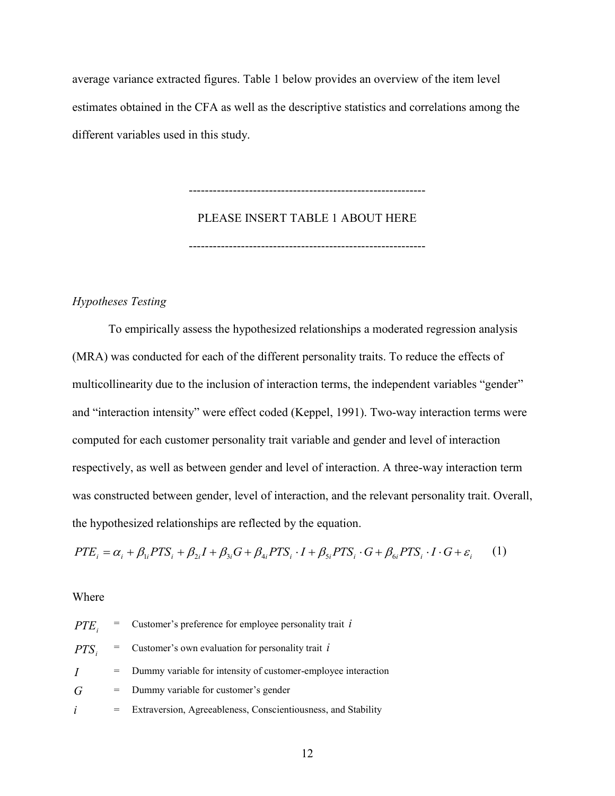average variance extracted figures. Table 1 below provides an overview of the item level estimates obtained in the CFA as well as the descriptive statistics and correlations among the different variables used in this study.

> ----------------------------------------------------------- PLEASE INSERT TABLE 1 ABOUT HERE -----------------------------------------------------------

# *Hypotheses Testing*

To empirically assess the hypothesized relationships a moderated regression analysis (MRA) was conducted for each of the different personality traits. To reduce the effects of multicollinearity due to the inclusion of interaction terms, the independent variables "gender" and "interaction intensity" were effect coded (Keppel, 1991). Two-way interaction terms were computed for each customer personality trait variable and gender and level of interaction respectively, as well as between gender and level of interaction. A three-way interaction term was constructed between gender, level of interaction, and the relevant personality trait. Overall, the hypothesized relationships are reflected by the equation.

$$
PTE_i = \alpha_i + \beta_{1i} PTS_i + \beta_{2i} I + \beta_{3i} G + \beta_{4i} PTS_i \cdot I + \beta_{5i} PTS_i \cdot G + \beta_{6i} PTS_i \cdot I \cdot G + \varepsilon_i \tag{1}
$$

# Where

| $PTE_i$        | $=$ Customer's preference for employee personality trait i      |
|----------------|-----------------------------------------------------------------|
| $PTS_i$        | $=$ Customer's own evaluation for personality trait i           |
| $\overline{I}$ | = Dummy variable for intensity of customer-employee interaction |
| G              | = Dummy variable for customer's gender                          |
| $\dot{l}$      | = Extraversion, Agreeableness, Conscientiousness, and Stability |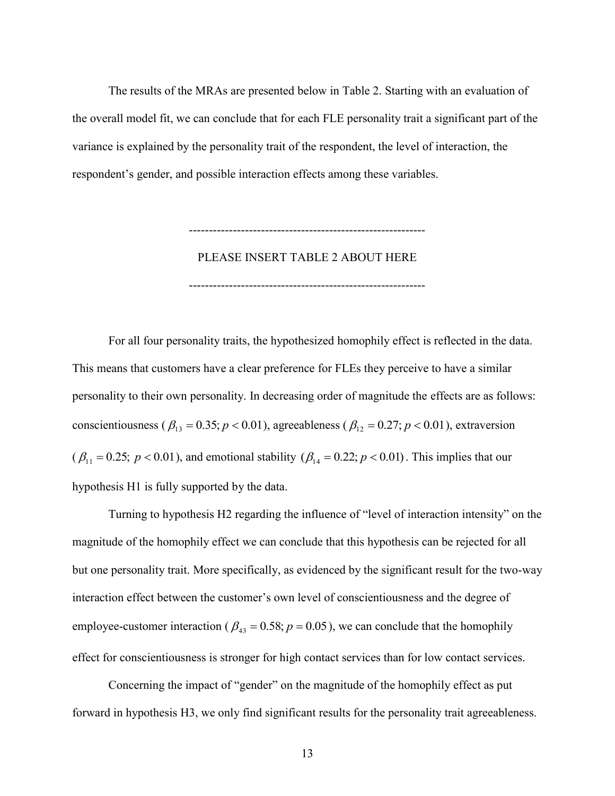The results of the MRAs are presented below in Table 2. Starting with an evaluation of the overall model fit, we can conclude that for each FLE personality trait a significant part of the variance is explained by the personality trait of the respondent, the level of interaction, the respondent's gender, and possible interaction effects among these variables.

PLEASE INSERT TABLE 2 ABOUT HERE

-----------------------------------------------------------

-----------------------------------------------------------

For all four personality traits, the hypothesized homophily effect is reflected in the data. This means that customers have a clear preference for FLEs they perceive to have a similar personality to their own personality. In decreasing order of magnitude the effects are as follows: conscientiousness ( $\beta_{13} = 0.35$ ;  $p < 0.01$ ), agreeableness ( $\beta_{12} = 0.27$ ;  $p < 0.01$ ), extraversion  $(\beta_{11} = 0.25; p < 0.01)$ , and emotional stability  $(\beta_{14} = 0.22; p < 0.01)$ . This implies that our hypothesis H1 is fully supported by the data.

Turning to hypothesis H2 regarding the influence of "level of interaction intensity" on the magnitude of the homophily effect we can conclude that this hypothesis can be rejected for all but one personality trait. More specifically, as evidenced by the significant result for the two-way interaction effect between the customer's own level of conscientiousness and the degree of employee-customer interaction ( $\beta_{43} = 0.58$ ;  $p = 0.05$ ), we can conclude that the homophily effect for conscientiousness is stronger for high contact services than for low contact services.

Concerning the impact of "gender" on the magnitude of the homophily effect as put forward in hypothesis H3, we only find significant results for the personality trait agreeableness.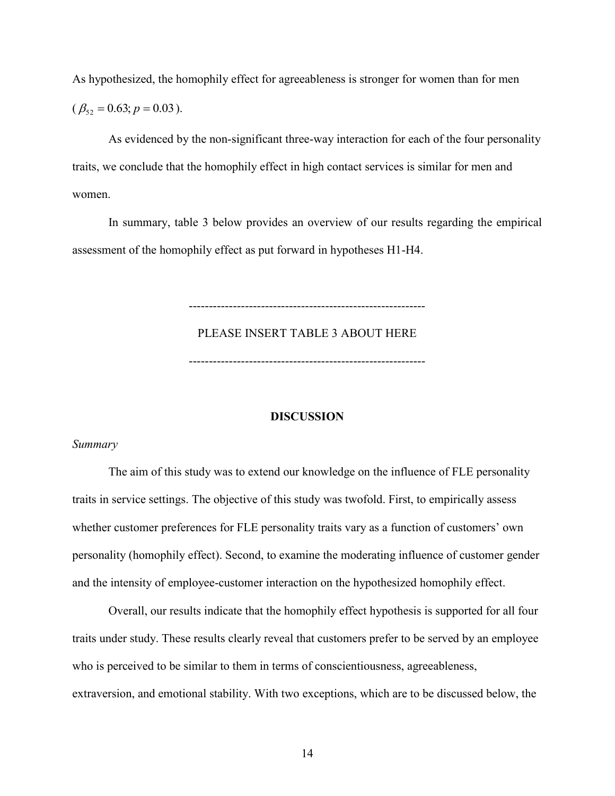As hypothesized, the homophily effect for agreeableness is stronger for women than for men

 $(\beta_{52} = 0.63; p = 0.03).$ 

As evidenced by the non-significant three-way interaction for each of the four personality traits, we conclude that the homophily effect in high contact services is similar for men and women.

In summary, table 3 below provides an overview of our results regarding the empirical assessment of the homophily effect as put forward in hypotheses H1-H4.

> PLEASE INSERT TABLE 3 ABOUT HERE -----------------------------------------------------------

> -----------------------------------------------------------

# **DISCUSSION**

## *Summary*

The aim of this study was to extend our knowledge on the influence of FLE personality traits in service settings. The objective of this study was twofold. First, to empirically assess whether customer preferences for FLE personality traits vary as a function of customers' own personality (homophily effect). Second, to examine the moderating influence of customer gender and the intensity of employee-customer interaction on the hypothesized homophily effect.

Overall, our results indicate that the homophily effect hypothesis is supported for all four traits under study. These results clearly reveal that customers prefer to be served by an employee who is perceived to be similar to them in terms of conscientiousness, agreeableness, extraversion, and emotional stability. With two exceptions, which are to be discussed below, the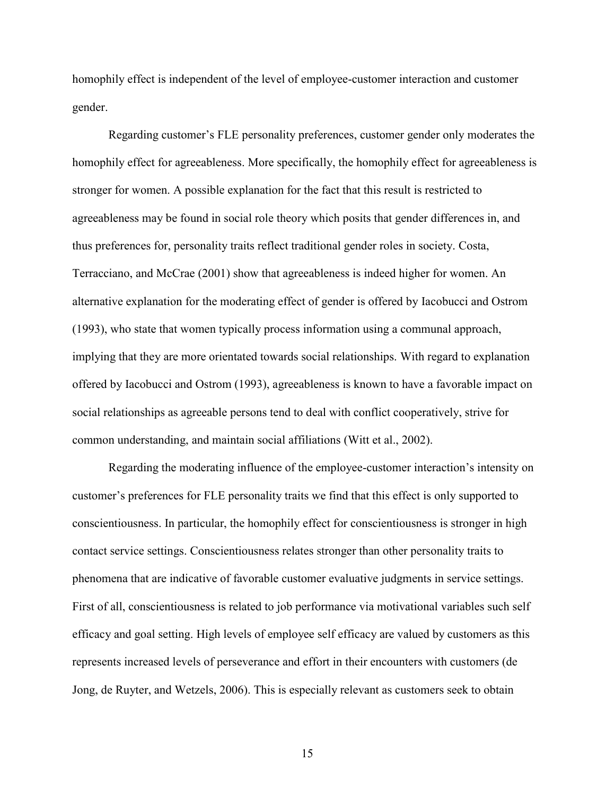homophily effect is independent of the level of employee-customer interaction and customer gender.

Regarding customer's FLE personality preferences, customer gender only moderates the homophily effect for agreeableness. More specifically, the homophily effect for agreeableness is stronger for women. A possible explanation for the fact that this result is restricted to agreeableness may be found in social role theory which posits that gender differences in, and thus preferences for, personality traits reflect traditional gender roles in society. Costa, Terracciano, and McCrae (2001) show that agreeableness is indeed higher for women. An alternative explanation for the moderating effect of gender is offered by Iacobucci and Ostrom (1993), who state that women typically process information using a communal approach, implying that they are more orientated towards social relationships. With regard to explanation offered by Iacobucci and Ostrom (1993), agreeableness is known to have a favorable impact on social relationships as agreeable persons tend to deal with conflict cooperatively, strive for common understanding, and maintain social affiliations (Witt et al., 2002).

Regarding the moderating influence of the employee-customer interaction's intensity on customer's preferences for FLE personality traits we find that this effect is only supported to conscientiousness. In particular, the homophily effect for conscientiousness is stronger in high contact service settings. Conscientiousness relates stronger than other personality traits to phenomena that are indicative of favorable customer evaluative judgments in service settings. First of all, conscientiousness is related to job performance via motivational variables such self efficacy and goal setting. High levels of employee self efficacy are valued by customers as this represents increased levels of perseverance and effort in their encounters with customers (de Jong, de Ruyter, and Wetzels, 2006). This is especially relevant as customers seek to obtain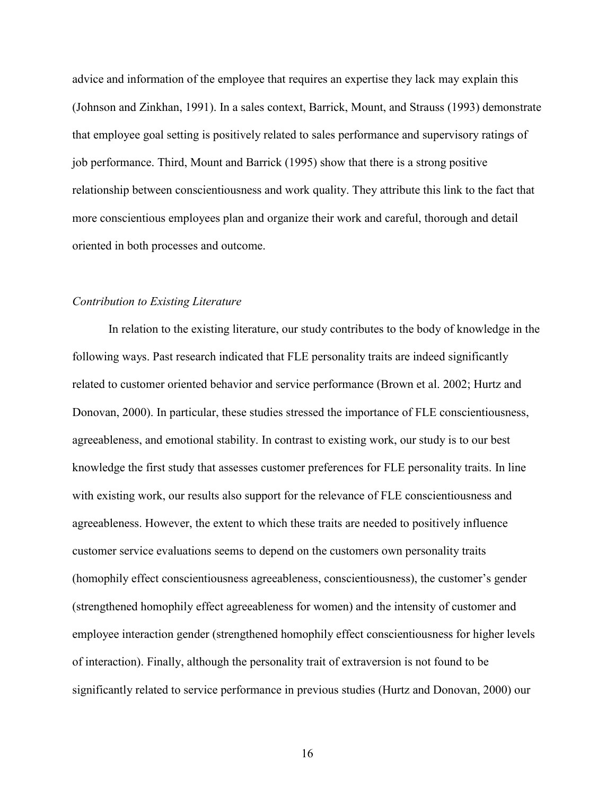advice and information of the employee that requires an expertise they lack may explain this (Johnson and Zinkhan, 1991). In a sales context, Barrick, Mount, and Strauss (1993) demonstrate that employee goal setting is positively related to sales performance and supervisory ratings of job performance. Third, Mount and Barrick (1995) show that there is a strong positive relationship between conscientiousness and work quality. They attribute this link to the fact that more conscientious employees plan and organize their work and careful, thorough and detail oriented in both processes and outcome.

# *Contribution to Existing Literature*

In relation to the existing literature, our study contributes to the body of knowledge in the following ways. Past research indicated that FLE personality traits are indeed significantly related to customer oriented behavior and service performance (Brown et al. 2002; Hurtz and Donovan, 2000). In particular, these studies stressed the importance of FLE conscientiousness, agreeableness, and emotional stability. In contrast to existing work, our study is to our best knowledge the first study that assesses customer preferences for FLE personality traits. In line with existing work, our results also support for the relevance of FLE conscientiousness and agreeableness. However, the extent to which these traits are needed to positively influence customer service evaluations seems to depend on the customers own personality traits (homophily effect conscientiousness agreeableness, conscientiousness), the customer's gender (strengthened homophily effect agreeableness for women) and the intensity of customer and employee interaction gender (strengthened homophily effect conscientiousness for higher levels of interaction). Finally, although the personality trait of extraversion is not found to be significantly related to service performance in previous studies (Hurtz and Donovan, 2000) our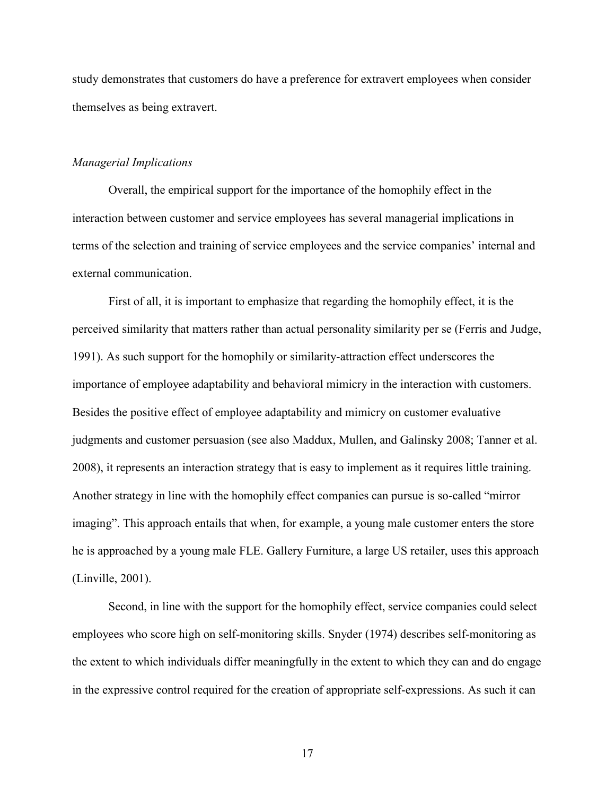study demonstrates that customers do have a preference for extravert employees when consider themselves as being extravert.

# *Managerial Implications*

Overall, the empirical support for the importance of the homophily effect in the interaction between customer and service employees has several managerial implications in terms of the selection and training of service employees and the service companies' internal and external communication.

First of all, it is important to emphasize that regarding the homophily effect, it is the perceived similarity that matters rather than actual personality similarity per se (Ferris and Judge, 1991). As such support for the homophily or similarity-attraction effect underscores the importance of employee adaptability and behavioral mimicry in the interaction with customers. Besides the positive effect of employee adaptability and mimicry on customer evaluative judgments and customer persuasion (see also Maddux, Mullen, and Galinsky 2008; Tanner et al. 2008), it represents an interaction strategy that is easy to implement as it requires little training. Another strategy in line with the homophily effect companies can pursue is so-called "mirror imaging". This approach entails that when, for example, a young male customer enters the store he is approached by a young male FLE. Gallery Furniture, a large US retailer, uses this approach (Linville, 2001).

Second, in line with the support for the homophily effect, service companies could select employees who score high on self-monitoring skills. Snyder (1974) describes self-monitoring as the extent to which individuals differ meaningfully in the extent to which they can and do engage in the expressive control required for the creation of appropriate self-expressions. As such it can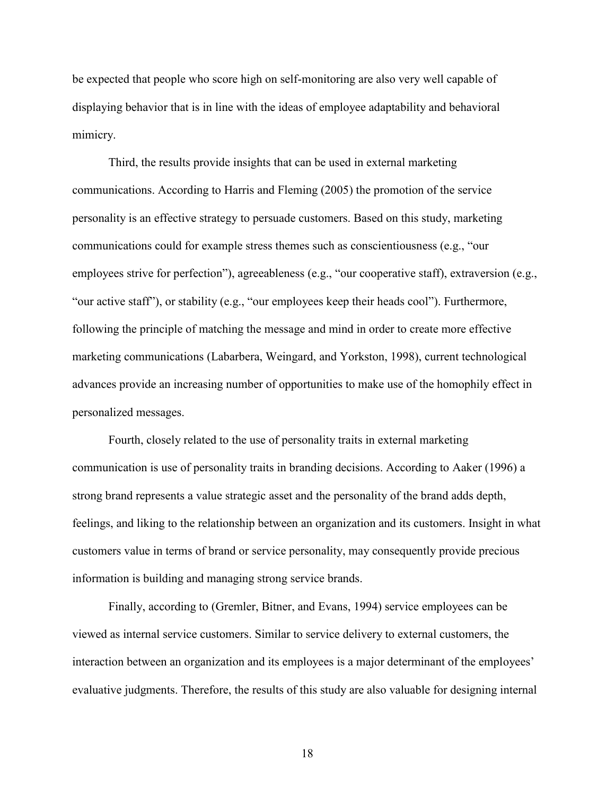be expected that people who score high on self-monitoring are also very well capable of displaying behavior that is in line with the ideas of employee adaptability and behavioral mimicry.

Third, the results provide insights that can be used in external marketing communications. According to Harris and Fleming (2005) the promotion of the service personality is an effective strategy to persuade customers. Based on this study, marketing communications could for example stress themes such as conscientiousness (e.g., "our employees strive for perfection"), agreeableness (e.g., "our cooperative staff), extraversion (e.g., "our active staff"), or stability (e.g., "our employees keep their heads cool"). Furthermore, following the principle of matching the message and mind in order to create more effective marketing communications (Labarbera, Weingard, and Yorkston, 1998), current technological advances provide an increasing number of opportunities to make use of the homophily effect in personalized messages.

Fourth, closely related to the use of personality traits in external marketing communication is use of personality traits in branding decisions. According to Aaker (1996) a strong brand represents a value strategic asset and the personality of the brand adds depth, feelings, and liking to the relationship between an organization and its customers. Insight in what customers value in terms of brand or service personality, may consequently provide precious information is building and managing strong service brands.

Finally, according to (Gremler, Bitner, and Evans, 1994) service employees can be viewed as internal service customers. Similar to service delivery to external customers, the interaction between an organization and its employees is a major determinant of the employees' evaluative judgments. Therefore, the results of this study are also valuable for designing internal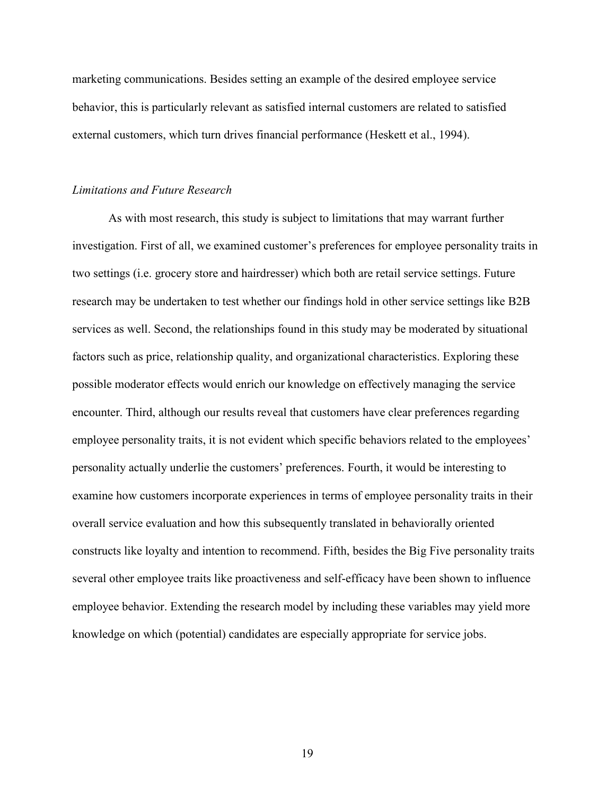marketing communications. Besides setting an example of the desired employee service behavior, this is particularly relevant as satisfied internal customers are related to satisfied external customers, which turn drives financial performance (Heskett et al., 1994).

## *Limitations and Future Research*

As with most research, this study is subject to limitations that may warrant further investigation. First of all, we examined customer's preferences for employee personality traits in two settings (i.e. grocery store and hairdresser) which both are retail service settings. Future research may be undertaken to test whether our findings hold in other service settings like B2B services as well. Second, the relationships found in this study may be moderated by situational factors such as price, relationship quality, and organizational characteristics. Exploring these possible moderator effects would enrich our knowledge on effectively managing the service encounter. Third, although our results reveal that customers have clear preferences regarding employee personality traits, it is not evident which specific behaviors related to the employees' personality actually underlie the customers' preferences. Fourth, it would be interesting to examine how customers incorporate experiences in terms of employee personality traits in their overall service evaluation and how this subsequently translated in behaviorally oriented constructs like loyalty and intention to recommend. Fifth, besides the Big Five personality traits several other employee traits like proactiveness and self-efficacy have been shown to influence employee behavior. Extending the research model by including these variables may yield more knowledge on which (potential) candidates are especially appropriate for service jobs.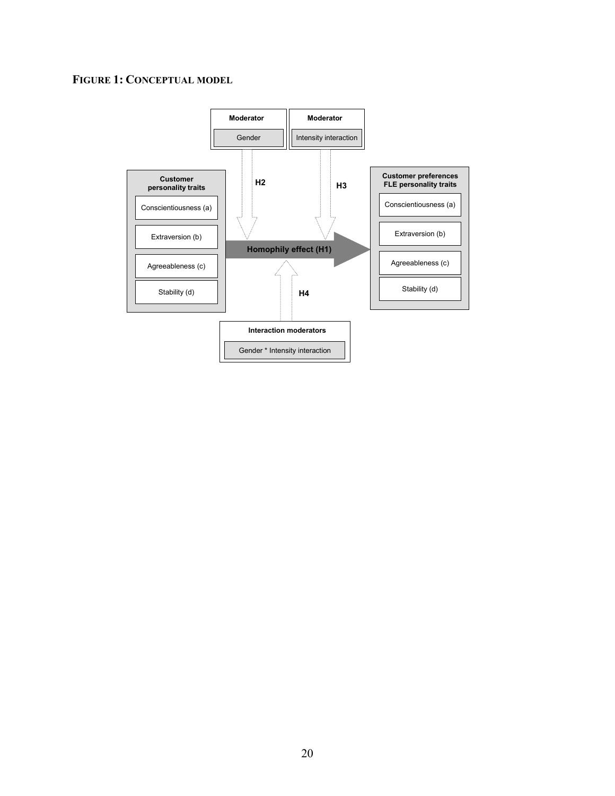# **FIGURE 1: CONCEPTUAL MODEL**

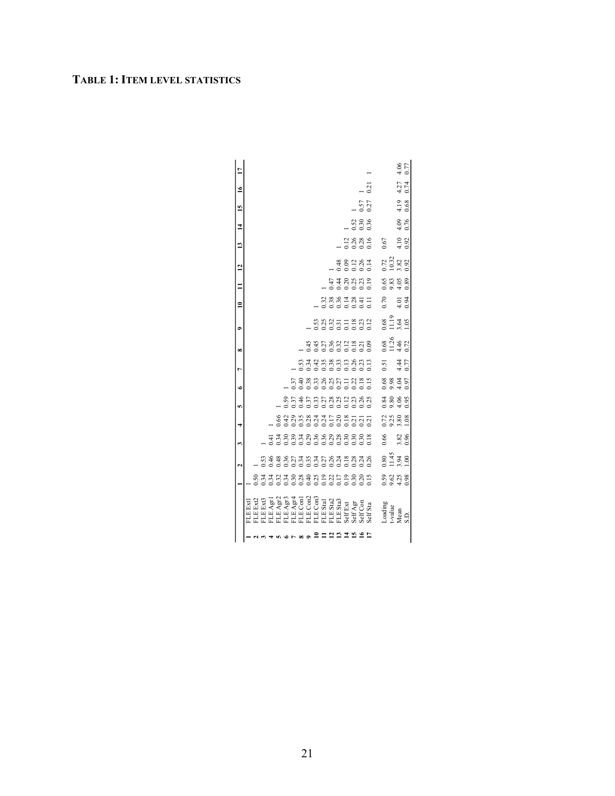# **TABLE 1: ITEM LEVEL STATISTICS**

|                 |                                                                |                                          | $\mathbf{\tilde{c}}$                                                          |      | 3            | 4 | In                              | ی                          | L                                  | œ                                    | ÷                          | $\equiv$                                                                                                                                                                                                                                                                                  | $\equiv$       | $\overline{a}$ | 13                  | $\overline{1}$                              | 15                  | $\tilde{=}$  |
|-----------------|----------------------------------------------------------------|------------------------------------------|-------------------------------------------------------------------------------|------|--------------|---|---------------------------------|----------------------------|------------------------------------|--------------------------------------|----------------------------|-------------------------------------------------------------------------------------------------------------------------------------------------------------------------------------------------------------------------------------------------------------------------------------------|----------------|----------------|---------------------|---------------------------------------------|---------------------|--------------|
|                 |                                                                | 8333833834832852888<br>83338388348328528 | 6<br>6 6 6 6 6 6 7 7 8 7 8 7 8 7 8 8 7 8<br>6 6 6 6 6 6 6 6 6 6 6 6 6 6 6 7 8 |      |              |   |                                 |                            |                                    |                                      |                            |                                                                                                                                                                                                                                                                                           |                |                |                     |                                             |                     |              |
|                 |                                                                |                                          |                                                                               |      |              |   | 85353538823888<br>0000000000000 | 538538513351<br>5395385135 |                                    |                                      |                            |                                                                                                                                                                                                                                                                                           |                |                |                     |                                             |                     |              |
|                 |                                                                |                                          |                                                                               |      |              |   |                                 |                            | na que en no dina<br>Donocono dina |                                      |                            |                                                                                                                                                                                                                                                                                           |                |                |                     |                                             |                     |              |
|                 |                                                                |                                          |                                                                               |      |              |   |                                 |                            |                                    | 4488892278                           |                            |                                                                                                                                                                                                                                                                                           |                |                |                     |                                             |                     |              |
|                 |                                                                |                                          |                                                                               |      |              |   |                                 |                            |                                    |                                      | 88853883                   | $\begin{array}{c} 2388448411 \\ 233514841 \\ 245110 \\ 245110 \\ 245110 \\ 245110 \\ 245110 \\ 245110 \\ 245110 \\ 245110 \\ 245110 \\ 245110 \\ 245110 \\ 245110 \\ 245110 \\ 245110 \\ 245110 \\ 245110 \\ 245110 \\ 245110 \\ 245110 \\ 245110 \\ 245110 \\ 245110 \\ 245110 \\ 24511$ |                |                |                     |                                             |                     |              |
|                 |                                                                |                                          |                                                                               |      |              |   |                                 |                            |                                    |                                      |                            |                                                                                                                                                                                                                                                                                           |                |                |                     |                                             |                     |              |
|                 |                                                                |                                          |                                                                               |      |              |   |                                 |                            |                                    |                                      |                            |                                                                                                                                                                                                                                                                                           |                |                |                     |                                             |                     |              |
| 2 1 1 1 1 1 1 2 |                                                                |                                          |                                                                               |      |              |   |                                 |                            |                                    |                                      |                            |                                                                                                                                                                                                                                                                                           | 448889         | 88287<br>2225  | 1288<br>1288<br>116 |                                             |                     |              |
|                 |                                                                |                                          |                                                                               |      |              |   |                                 |                            |                                    |                                      |                            |                                                                                                                                                                                                                                                                                           |                |                |                     | $\begin{array}{c} 0.52 \\ 0.36 \end{array}$ |                     |              |
|                 |                                                                |                                          |                                                                               |      |              |   |                                 |                            |                                    |                                      |                            |                                                                                                                                                                                                                                                                                           |                |                |                     |                                             | $0.57$<br>$0.27$    |              |
|                 |                                                                |                                          |                                                                               |      |              |   |                                 |                            |                                    |                                      |                            |                                                                                                                                                                                                                                                                                           |                |                |                     |                                             |                     | 21           |
|                 |                                                                |                                          |                                                                               |      |              |   |                                 |                            |                                    |                                      |                            |                                                                                                                                                                                                                                                                                           |                |                | 0.67                |                                             |                     |              |
|                 | $\begin{array}{c} \text{Loding} \\ \text{t-value} \end{array}$ |                                          |                                                                               | 0.66 |              |   | 0.81<br>0.91<br>0.95            |                            | 0.51                               |                                      |                            | 0.70                                                                                                                                                                                                                                                                                      |                |                |                     |                                             |                     |              |
|                 | Mean                                                           |                                          | $0.80$<br>$1.45$<br>$1.30$<br>$1.30$                                          | 3.82 | 2388<br>2388 |   |                                 | 0.68<br>0.91<br>0.91       | 4.44<br>0.77                       | $3.56$<br>$1.26$<br>$4.47$<br>$0.72$ | $rac{8}{2} = \frac{13}{2}$ | $4.01$<br>0.94                                                                                                                                                                                                                                                                            | 68358<br>08358 | 2388<br>2388   | $\frac{4.10}{0.92}$ | 4.09<br>0.76                                | $\frac{4.19}{0.68}$ | 4.27<br>0.74 |
|                 | S.D.                                                           |                                          |                                                                               |      |              |   |                                 |                            |                                    |                                      |                            |                                                                                                                                                                                                                                                                                           |                |                |                     |                                             |                     |              |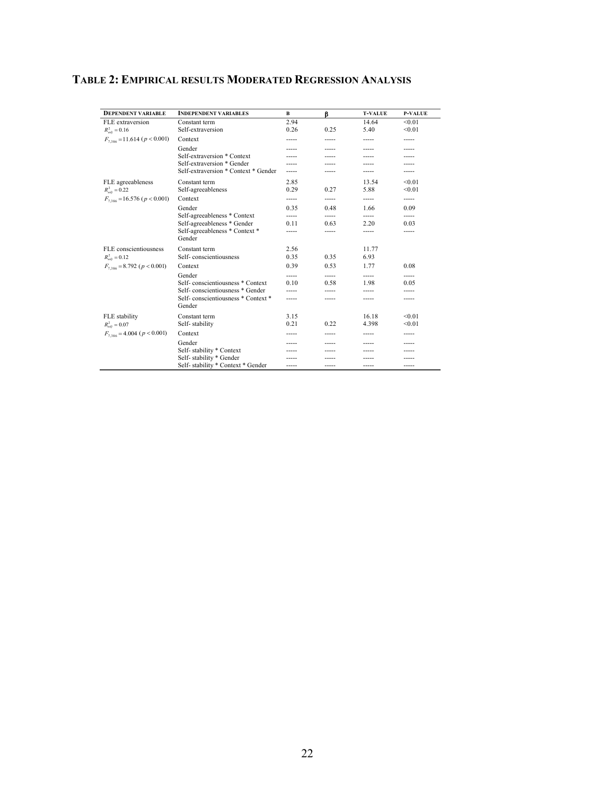| <b>DEPENDENT VARIABLE</b>            | <b>INDEPENDENT VARIABLES</b>                 | B     | β     | <b>T-VALUE</b> | <b>P-VALUE</b> |
|--------------------------------------|----------------------------------------------|-------|-------|----------------|----------------|
| FLE extraversion                     | Constant term                                | 2.94  |       | 14.64          | < 0.01         |
| $R_{adi}^2 = 0.16$                   | Self-extraversion                            | 0.26  | 0.25  | 5.40           | < 0.01         |
| $F_{7,386}$ = 11.614 ( $p < 0.001$ ) | Context                                      |       |       | -----          | -----          |
|                                      | Gender                                       |       |       | -----          |                |
|                                      | Self-extraversion * Context                  |       |       |                |                |
|                                      | Self-extraversion * Gender                   |       |       |                |                |
|                                      | Self-extraversion * Context * Gender         | ----- |       | -----          |                |
| FLE agreeableness                    | Constant term                                | 2.85  |       | 13.54          | < 0.01         |
| $R_{adi}^2 = 0.22$                   | Self-agreeableness                           | 0.29  | 0.27  | 5.88           | < 0.01         |
| $F_{7,386}$ = 16.576 ( $p < 0.001$ ) | Context                                      | ----- | ----- | -----          | -----          |
|                                      | Gender                                       | 0.35  | 0.48  | 1.66           | 0.09           |
|                                      | Self-agreeableness * Context                 | ----- |       | -----          | -----          |
|                                      | Self-agreeableness * Gender                  | 0.11  | 0.63  | 2 2 0          | 0.03           |
|                                      | Self-agreeableness * Context *<br>Gender     | ----- | ----- | -----          | -----          |
| FLE conscientiousness                | Constant term                                | 2.56  |       | 11.77          |                |
| $R_{adi}^2 = 0.12$                   | Self-conscientiousness                       | 0.35  | 0.35  | 6.93           |                |
| $F_{7,386} = 8.792$ ( $p < 0.001$ )  | Context                                      | 0.39  | 0.53  | 1.77           | 0.08           |
|                                      | Gender                                       | ----- | ----- | -----          | -----          |
|                                      | Self-conscientiousness * Context             | 0.10  | 0.58  | 1.98           | 0.05           |
|                                      | Self-conscientiousness * Gender              |       |       |                |                |
|                                      | Self-conscientiousness * Context *<br>Gender | ----- | ----- | -----          | -----          |
| FLE stability                        | Constant term                                | 3.15  |       | 16.18          | < 0.01         |
| $R_{adi}^2 = 0.07$                   | Self-stability                               | 0.21  | 0.22  | 4.398          | < 0.01         |
| $F_{7,386} = 4.004$ ( $p < 0.001$ )  | Context                                      |       | ----- | -----          | -----          |
|                                      | Gender                                       |       |       |                |                |
|                                      | Self-stability * Context                     |       |       |                |                |
|                                      | Self-stability * Gender                      |       |       |                |                |
|                                      | Self-stability * Context * Gender            | ----- | ----- | -----          | -----          |

# **TABLE 2: EMPIRICAL RESULTS MODERATED REGRESSION ANALYSIS**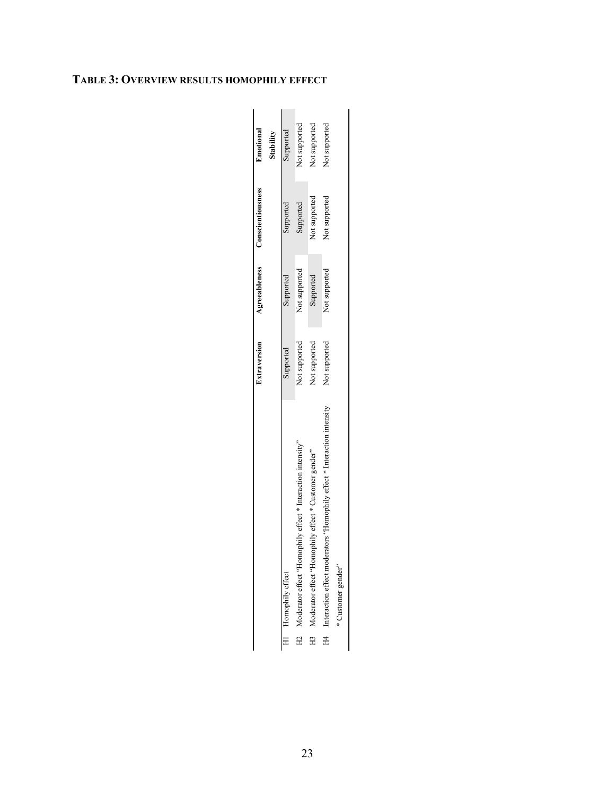|                                                                            | <b>Extraversion</b> |               | Agreeableness Conscientiousness | Emotional<br>Stability |
|----------------------------------------------------------------------------|---------------------|---------------|---------------------------------|------------------------|
| H1 Homophily effect                                                        | Supported           | Supported     | Supported                       | Supported              |
| H2 Moderator effect "Homophily effect * Interaction intensity"             | Not supported       | Not supported | Supported                       | Not supported          |
| H3 Moderator effect "Homophily effect * Customer gender"                   | Not supported       | Supported     | Not supported                   | Not supported          |
| H4 Interaction effect moderators "Homophily effect * Interaction intensity | Not supported       | Not supported | Not supported                   | Not supported          |
| * Customer gender"                                                         |                     |               |                                 |                        |

# **TABLE 3: OVERVIEW RESULTS HOMOPHILY EFFECT**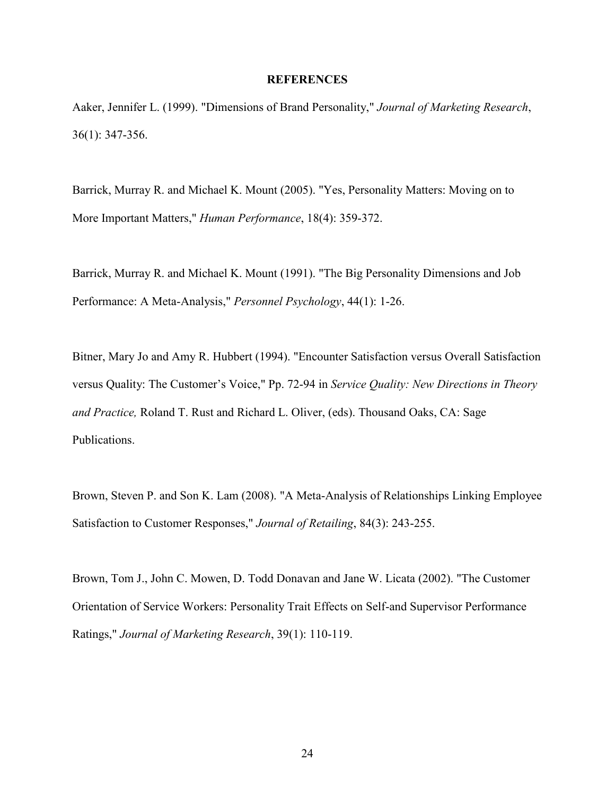## **REFERENCES**

Aaker, Jennifer L. (1999). "Dimensions of Brand Personality," *Journal of Marketing Research*, 36(1): 347-356.

Barrick, Murray R. and Michael K. Mount (2005). "Yes, Personality Matters: Moving on to More Important Matters," *Human Performance*, 18(4): 359-372.

Barrick, Murray R. and Michael K. Mount (1991). "The Big Personality Dimensions and Job Performance: A Meta-Analysis," *Personnel Psychology*, 44(1): 1-26.

Bitner, Mary Jo and Amy R. Hubbert (1994). "Encounter Satisfaction versus Overall Satisfaction versus Quality: The Customer's Voice," Pp. 72-94 in *Service Quality: New Directions in Theory and Practice,* Roland T. Rust and Richard L. Oliver, (eds). Thousand Oaks, CA: Sage Publications.

Brown, Steven P. and Son K. Lam (2008). "A Meta-Analysis of Relationships Linking Employee Satisfaction to Customer Responses," *Journal of Retailing*, 84(3): 243-255.

Brown, Tom J., John C. Mowen, D. Todd Donavan and Jane W. Licata (2002). "The Customer Orientation of Service Workers: Personality Trait Effects on Self-and Supervisor Performance Ratings," *Journal of Marketing Research*, 39(1): 110-119.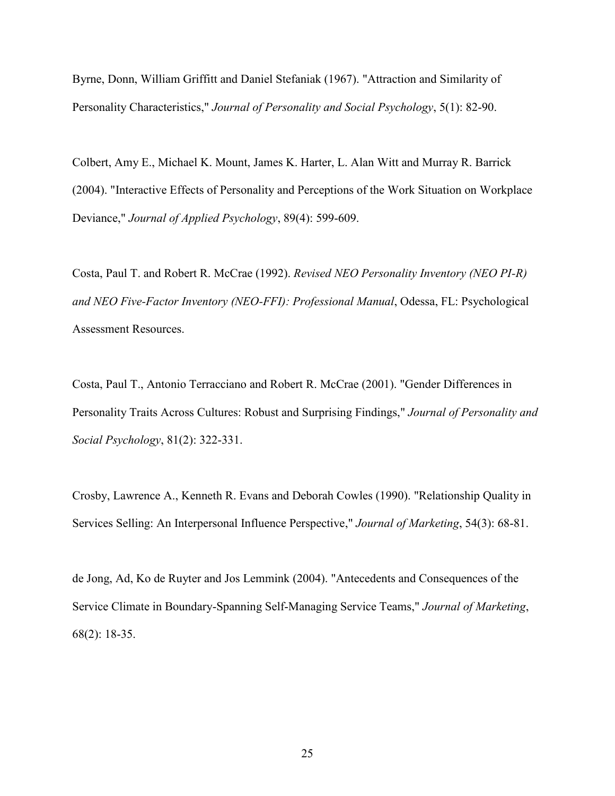Byrne, Donn, William Griffitt and Daniel Stefaniak (1967). "Attraction and Similarity of Personality Characteristics," *Journal of Personality and Social Psychology*, 5(1): 82-90.

Colbert, Amy E., Michael K. Mount, James K. Harter, L. Alan Witt and Murray R. Barrick (2004). "Interactive Effects of Personality and Perceptions of the Work Situation on Workplace Deviance," *Journal of Applied Psychology*, 89(4): 599-609.

Costa, Paul T. and Robert R. McCrae (1992). *Revised NEO Personality Inventory (NEO PI-R) and NEO Five-Factor Inventory (NEO-FFI): Professional Manual*, Odessa, FL: Psychological Assessment Resources.

Costa, Paul T., Antonio Terracciano and Robert R. McCrae (2001). "Gender Differences in Personality Traits Across Cultures: Robust and Surprising Findings," *Journal of Personality and Social Psychology*, 81(2): 322-331.

Crosby, Lawrence A., Kenneth R. Evans and Deborah Cowles (1990). "Relationship Quality in Services Selling: An Interpersonal Influence Perspective," *Journal of Marketing*, 54(3): 68-81.

de Jong, Ad, Ko de Ruyter and Jos Lemmink (2004). "Antecedents and Consequences of the Service Climate in Boundary-Spanning Self-Managing Service Teams," *Journal of Marketing*, 68(2): 18-35.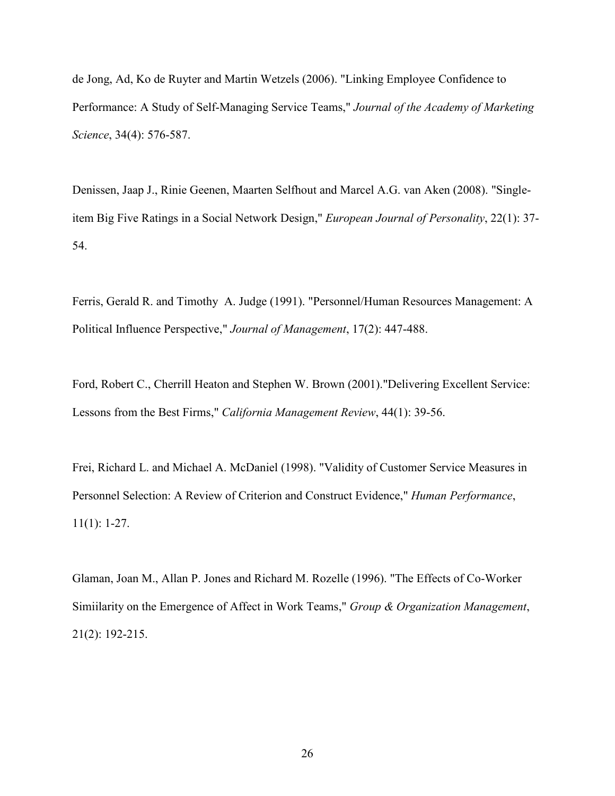de Jong, Ad, Ko de Ruyter and Martin Wetzels (2006). "Linking Employee Confidence to Performance: A Study of Self-Managing Service Teams," *Journal of the Academy of Marketing Science*, 34(4): 576-587.

Denissen, Jaap J., Rinie Geenen, Maarten Selfhout and Marcel A.G. van Aken (2008). "Singleitem Big Five Ratings in a Social Network Design," *European Journal of Personality*, 22(1): 37- 54.

Ferris, Gerald R. and Timothy A. Judge (1991). "Personnel/Human Resources Management: A Political Influence Perspective," *Journal of Management*, 17(2): 447-488.

Ford, Robert C., Cherrill Heaton and Stephen W. Brown (2001)."Delivering Excellent Service: Lessons from the Best Firms," *California Management Review*, 44(1): 39-56.

Frei, Richard L. and Michael A. McDaniel (1998). "Validity of Customer Service Measures in Personnel Selection: A Review of Criterion and Construct Evidence," *Human Performance*, 11(1): 1-27.

Glaman, Joan M., Allan P. Jones and Richard M. Rozelle (1996). "The Effects of Co-Worker Simiilarity on the Emergence of Affect in Work Teams," *Group & Organization Management*, 21(2): 192-215.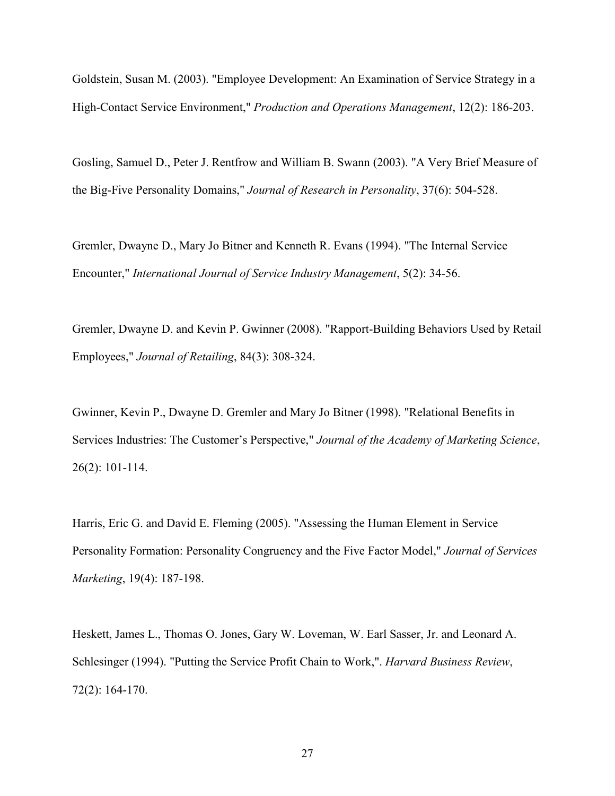Goldstein, Susan M. (2003). "Employee Development: An Examination of Service Strategy in a High-Contact Service Environment," *Production and Operations Management*, 12(2): 186-203.

Gosling, Samuel D., Peter J. Rentfrow and William B. Swann (2003). "A Very Brief Measure of the Big-Five Personality Domains," *Journal of Research in Personality*, 37(6): 504-528.

Gremler, Dwayne D., Mary Jo Bitner and Kenneth R. Evans (1994). "The Internal Service Encounter," *International Journal of Service Industry Management*, 5(2): 34-56.

Gremler, Dwayne D. and Kevin P. Gwinner (2008). "Rapport-Building Behaviors Used by Retail Employees," *Journal of Retailing*, 84(3): 308-324.

Gwinner, Kevin P., Dwayne D. Gremler and Mary Jo Bitner (1998). "Relational Benefits in Services Industries: The Customer's Perspective," *Journal of the Academy of Marketing Science*, 26(2): 101-114.

Harris, Eric G. and David E. Fleming (2005). "Assessing the Human Element in Service Personality Formation: Personality Congruency and the Five Factor Model," *Journal of Services Marketing*, 19(4): 187-198.

Heskett, James L., Thomas O. Jones, Gary W. Loveman, W. Earl Sasser, Jr. and Leonard A. Schlesinger (1994). "Putting the Service Profit Chain to Work,". *Harvard Business Review*, 72(2): 164-170.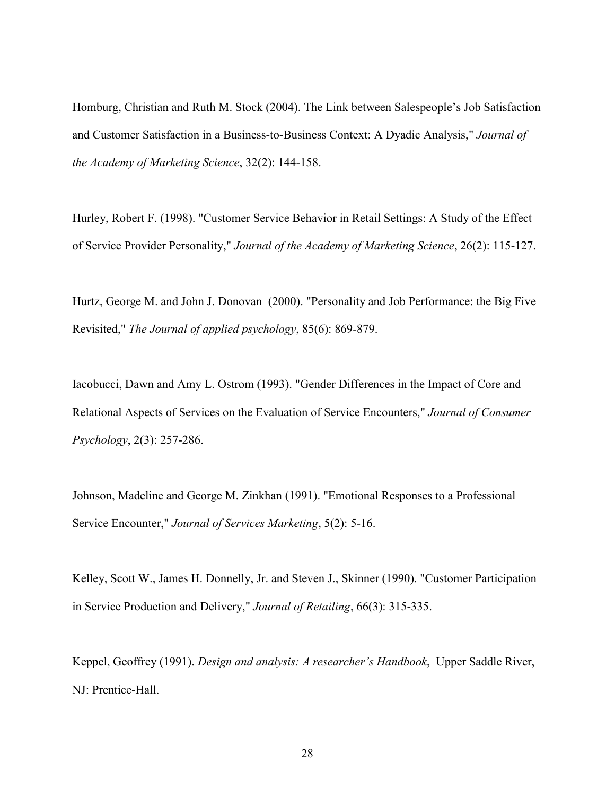Homburg, Christian and Ruth M. Stock (2004). The Link between Salespeople's Job Satisfaction and Customer Satisfaction in a Business-to-Business Context: A Dyadic Analysis," *Journal of the Academy of Marketing Science*, 32(2): 144-158.

Hurley, Robert F. (1998). "Customer Service Behavior in Retail Settings: A Study of the Effect of Service Provider Personality," *Journal of the Academy of Marketing Science*, 26(2): 115-127.

Hurtz, George M. and John J. Donovan (2000). "Personality and Job Performance: the Big Five Revisited," *The Journal of applied psychology*, 85(6): 869-879.

Iacobucci, Dawn and Amy L. Ostrom (1993). "Gender Differences in the Impact of Core and Relational Aspects of Services on the Evaluation of Service Encounters," *Journal of Consumer Psychology*, 2(3): 257-286.

Johnson, Madeline and George M. Zinkhan (1991). "Emotional Responses to a Professional Service Encounter," *Journal of Services Marketing*, 5(2): 5-16.

Kelley, Scott W., James H. Donnelly, Jr. and Steven J., Skinner (1990). "Customer Participation in Service Production and Delivery," *Journal of Retailing*, 66(3): 315-335.

Keppel, Geoffrey (1991). *Design and analysis: A researcher's Handbook*, Upper Saddle River, NJ: Prentice-Hall.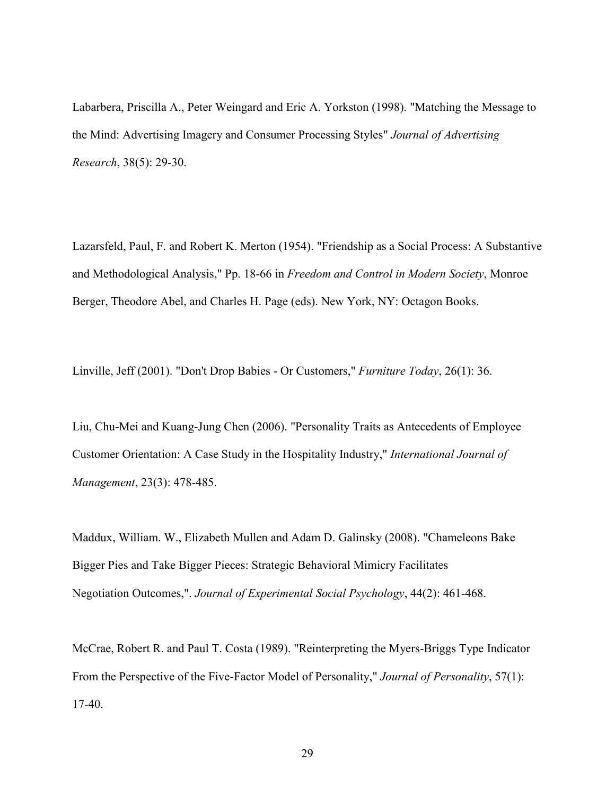Labarbera, Priscilla A., Peter Weingard and Eric A. Yorkston (1998). "Matching the Message to the Mind: Advertising Imagery and Consumer Processing Styles" *Journal of Advertising Research*, 38(5): 29-30.

Lazarsfeld, Paul, F. and Robert K. Merton (1954). "Friendship as a Social Process: A Substantive and Methodological Analysis," Pp. 18-66 in *Freedom and Control in Modern Society*, Monroe Berger, Theodore Abel, and Charles H. Page (eds). New York, NY: Octagon Books.

Linville, Jeff (2001). "Don't Drop Babies - Or Customers," *Furniture Today*, 26(1): 36.

Liu, Chu-Mei and Kuang-Jung Chen (2006). "Personality Traits as Antecedents of Employee Customer Orientation: A Case Study in the Hospitality Industry," *International Journal of Management*, 23(3): 478-485.

Maddux, William. W., Elizabeth Mullen and Adam D. Galinsky (2008). "Chameleons Bake Bigger Pies and Take Bigger Pieces: Strategic Behavioral Mimicry Facilitates Negotiation Outcomes,". *Journal of Experimental Social Psychology*, 44(2): 461-468.

McCrae, Robert R. and Paul T. Costa (1989). "Reinterpreting the Myers-Briggs Type Indicator From the Perspective of the Five-Factor Model of Personality," *Journal of Personality*, 57(1): 17-40.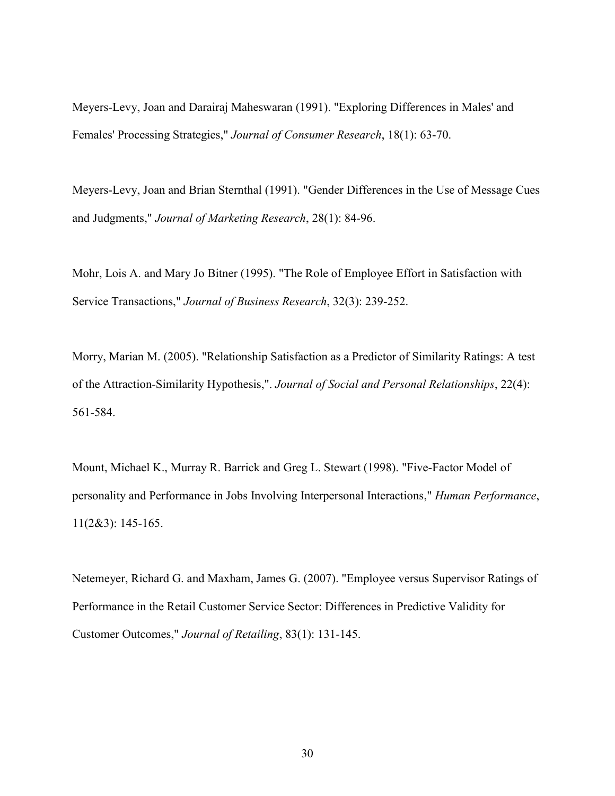Meyers-Levy, Joan and Darairaj Maheswaran (1991). "Exploring Differences in Males' and Females' Processing Strategies," *Journal of Consumer Research*, 18(1): 63-70.

Meyers-Levy, Joan and Brian Sternthal (1991). "Gender Differences in the Use of Message Cues and Judgments," *Journal of Marketing Research*, 28(1): 84-96.

Mohr, Lois A. and Mary Jo Bitner (1995). "The Role of Employee Effort in Satisfaction with Service Transactions," *Journal of Business Research*, 32(3): 239-252.

Morry, Marian M. (2005). "Relationship Satisfaction as a Predictor of Similarity Ratings: A test of the Attraction-Similarity Hypothesis,". *Journal of Social and Personal Relationships*, 22(4): 561-584.

Mount, Michael K., Murray R. Barrick and Greg L. Stewart (1998). "Five-Factor Model of personality and Performance in Jobs Involving Interpersonal Interactions," *Human Performance*, 11(2&3): 145-165.

Netemeyer, Richard G. and Maxham, James G. (2007). "Employee versus Supervisor Ratings of Performance in the Retail Customer Service Sector: Differences in Predictive Validity for Customer Outcomes," *Journal of Retailing*, 83(1): 131-145.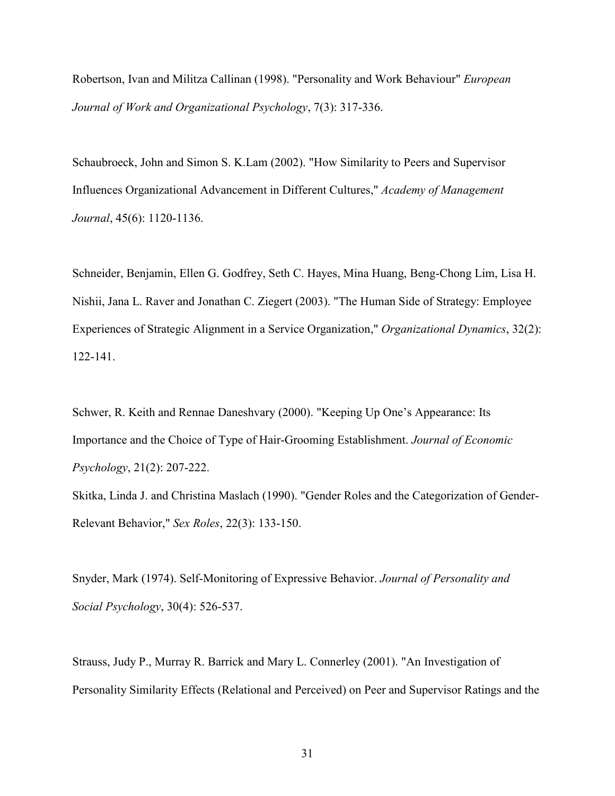Robertson, Ivan and Militza Callinan (1998). "Personality and Work Behaviour" *European Journal of Work and Organizational Psychology*, 7(3): 317-336.

Schaubroeck, John and Simon S. K.Lam (2002). "How Similarity to Peers and Supervisor Influences Organizational Advancement in Different Cultures," *Academy of Management Journal*, 45(6): 1120-1136.

Schneider, Benjamin, Ellen G. Godfrey, Seth C. Hayes, Mina Huang, Beng-Chong Lim, Lisa H. Nishii, Jana L. Raver and Jonathan C. Ziegert (2003). "The Human Side of Strategy: Employee Experiences of Strategic Alignment in a Service Organization," *Organizational Dynamics*, 32(2): 122-141.

Schwer, R. Keith and Rennae Daneshvary (2000). "Keeping Up One's Appearance: Its Importance and the Choice of Type of Hair-Grooming Establishment. *Journal of Economic Psychology*, 21(2): 207-222.

Skitka, Linda J. and Christina Maslach (1990). "Gender Roles and the Categorization of Gender-Relevant Behavior," *Sex Roles*, 22(3): 133-150.

Snyder, Mark (1974). Self-Monitoring of Expressive Behavior. *Journal of Personality and Social Psychology*, 30(4): 526-537.

Strauss, Judy P., Murray R. Barrick and Mary L. Connerley (2001). "An Investigation of Personality Similarity Effects (Relational and Perceived) on Peer and Supervisor Ratings and the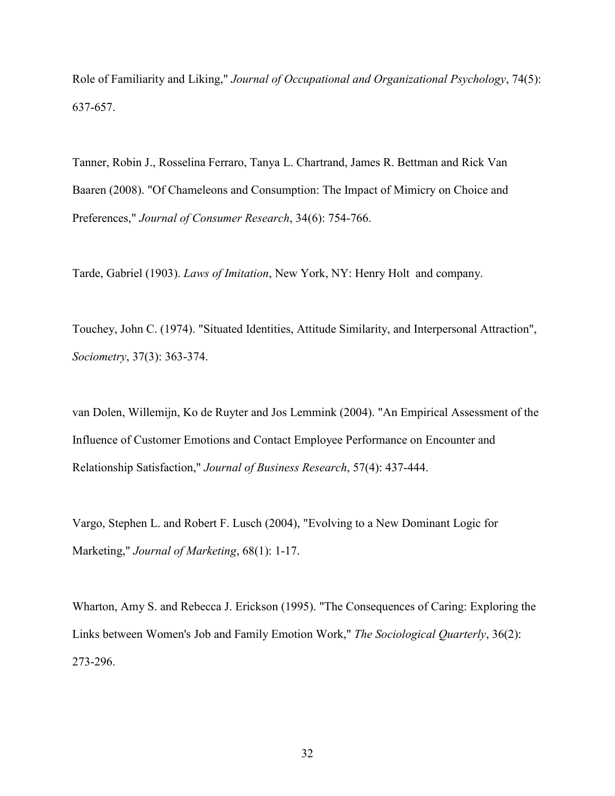Role of Familiarity and Liking," *Journal of Occupational and Organizational Psychology*, 74(5): 637-657.

Tanner, Robin J., Rosselina Ferraro, Tanya L. Chartrand, James R. Bettman and Rick Van Baaren (2008). "Of Chameleons and Consumption: The Impact of Mimicry on Choice and Preferences," *Journal of Consumer Research*, 34(6): 754-766.

Tarde, Gabriel (1903). *Laws of Imitation*, New York, NY: Henry Holt and company.

Touchey, John C. (1974). "Situated Identities, Attitude Similarity, and Interpersonal Attraction", *Sociometry*, 37(3): 363-374.

van Dolen, Willemijn, Ko de Ruyter and Jos Lemmink (2004). "An Empirical Assessment of the Influence of Customer Emotions and Contact Employee Performance on Encounter and Relationship Satisfaction," *Journal of Business Research*, 57(4): 437-444.

Vargo, Stephen L. and Robert F. Lusch (2004), "Evolving to a New Dominant Logic for Marketing," *Journal of Marketing*, 68(1): 1-17.

Wharton, Amy S. and Rebecca J. Erickson (1995). "The Consequences of Caring: Exploring the Links between Women's Job and Family Emotion Work," *The Sociological Quarterly*, 36(2): 273-296.